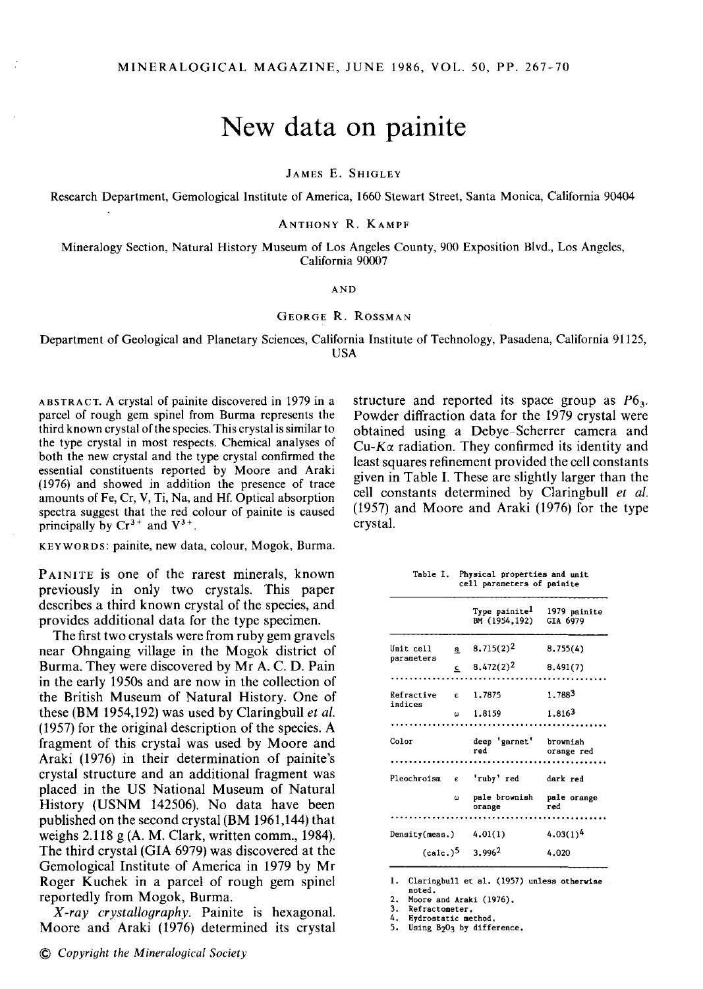## **New data on painite**

JAMES E. SHIGLEY

Research Department, Gemological Institute of America, 1660 Stewart Street, Santa Monica, California 90404

ANTHONY R. KAMPF

Mineralogy Section, Natural History Museum of Los Angeles County, 900 Exposition Blvd., Los Angeles, California 90007

## AND

## GEORGE R. ROSSMAN

Department of Geological and Planetary Sciences, California Institute of Technology, Pasadena, California 91125, USA

 $ABSTRACT. A crystal of painite discovered in 1979 in a$ parcel of rough gem spinel from Burma represents the third known crystal of the species. This crystal is similar to the type crystal in most respects. Chemical analyses of both the new crystal and the type crystal confirmed the essential constituents reported by Moore and Araki (1976) and showed in addition the presence of trace amounts of Fe, Cr, V, Ti, Na, and Hf. Optical absorption spectra suggest that the red colour of painite is caused principally by  $Cr^{3+}$  and  $V^{3+}$ .

KEYWORDS: painite, new data, colour, Mogok, Burma.

PAINITE is one of the rarest minerals, known previously in only two crystals. This paper describes a third known crystal of the species, and provides additional data for the type specimen.

The first two crystals were from ruby gem gravels near Ohngaing village in the Mogok district of Burma. They were discovered by Mr A. C. D. Pain in the early 1950s and are now in the collection of the British Museum of Natural History. One of these (BM 1954,192) was used by Claringbull *et al.*  (1957) for the original description of the species. A fragment of this crystal was used by Moore and Araki (1976) in their determination of painite's crystal structure and an additional fragment was placed in the US National Museum of Natural History (USNM 142506). No data have been published on the second crystal (BM 1961,144) that weighs 2.118 g (A.M. Clark, written comm., 1984). The third crystal (GIA 6979) was discovered at the Gemological Institute of America in 1979 by Mr Roger Kuchek in a parcel of rough gem spinel reportedly from Mogok, Burma.

*X-ray crystallography.* Painite is hexagonal. Moore and Araki (1976) determined its crystal

© *Copyright the Mineralogical Society* 

structure and reported its space group as  $P6<sub>3</sub>$ *.* Powder diffraction data for the 1979 crystal were obtained using a Debye-Scherrer camera and  $Cu$ - $K\alpha$  radiation. They confirmed its identity and least squares refinement provided the cell constants given in Table I. These are slightly larger than the cell constants determined by Claringbull *et al.*  (1957) and Moore and Araki (1976) for the type crystal.

**Table I. Physical properties and unit** 

|                         |    | cell parameters of painite                 |                          |
|-------------------------|----|--------------------------------------------|--------------------------|
|                         |    | Type painite <sup>l</sup><br>BM (1954,192) | 1979 painite<br>GIA 6979 |
| Unit cell<br>parameters | a  | $8,715(2)^2$                               | 8.755(4)                 |
|                         | ٤  | 8.472(2) <sup>2</sup>                      | 8.491(7)                 |
|                         |    |                                            |                          |
| Refractive<br>indices   | É  | 1.7875                                     | 1.7883                   |
|                         | ш  | 1.8159                                     | 1.8163                   |
|                         |    |                                            |                          |
| Color                   |    | deep 'garnet'<br>red                       | brownish<br>orange red   |
|                         |    |                                            |                          |
| Pleochroism             | Ė. | 'ruby' red                                 | dark red                 |
|                         | ω  | pale brownish<br>orange                    | pale orange<br>red       |
|                         |    |                                            |                          |
| Density(meas.)          |    | 4.01(1)                                    | $4.03(1)^4$              |
| (calc.) <sup>5</sup>    |    | 3.9962                                     | 4.020                    |

**1. Claringbull et al. (1957) unless otherwise** 

**noted. 2. Moore and Araki (1976).** 

**3. Refractometer. 4. Hydrostatic method.** 

**5. Using B203 by difference.**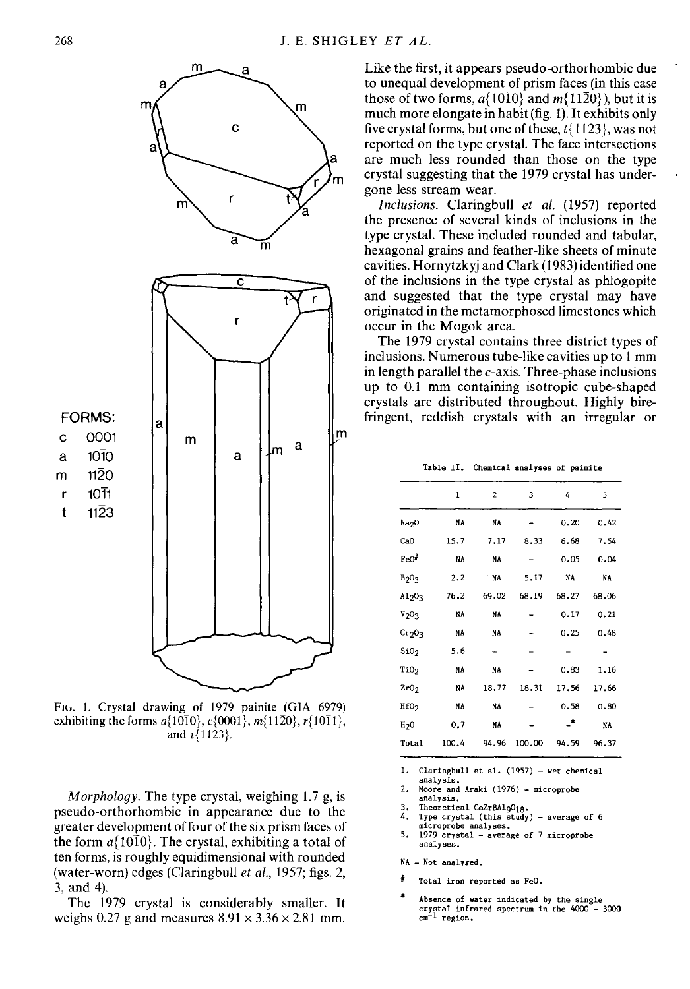

FIG. 1. Crystal drawing of 1979 painite (GIA 6979) exhibiting the forms  $a\{10\overline{1}0\}$ ,  $c\{0001\}$ ,  $m\{11\overline{2}0\}$ ,  $r\{10\overline{1}1\}$ , and  $t\{11\bar{2}3\}$ .

*Morphology.* The type crystal, weighing 1.7 g, is pseudo-orthorhombic in appearance due to the greater development of four of the six prism faces of the form  $a\{10\bar{1}0\}$ . The crystal, exhibiting a total of ten forms, is roughly equidimensional with rounded (water-worn) edges (Claringbull *et al.,* 1957; figs. 2, 3, and 4).

The 1979 crystal is considerably smaller. It weighs 0.27 g and measures  $8.91 \times 3.36 \times 2.81$  mm.

Like the first, it appears pseudo-orthorhombic due to unequal development of prism faces (in this case those of two forms,  $a\{10\overline{1}0\}$  and  $m\{11\overline{2}0\}$ ), but it is much more elongate in habit (fig. 1). It exhibits only five crystal forms, but one of these,  $t\{11\overline{2}3\}$ , was not reported on the type crystal. The face intersections are much less rounded than those on the type crystal suggesting that the 1979 crystal has undergone less stream wear.

*Inclusions.* Claringbull *et al.* (1957) reported the presence of several kinds of inclusions in the type crystal. These included rounded and tabular, hexagonal grains and feather-like sheets of minute cavities. Hornytzkyj and Clark (1983) identified one of the inclusions in the type crystal as phlogopite and suggested that the type crystal may have originated in the metamorphosed limestones which occur in the Mogok area.

The 1979 crystal contains three district types of inclusions. Numerous tube-like cavities up to 1 mm in length parallel the  $c$ -axis. Three-phase inclusions up to 0.1 mm containing isotropic cube-shaped crystals are distributed throughout. Highly birefringent, reddish crystals with an irregular or

|  |  | Table II. Chemical analyses of painite |  |  |  |
|--|--|----------------------------------------|--|--|--|
|--|--|----------------------------------------|--|--|--|

|                                | 1     | $\overline{2}$ | 3      | 4     | 5     |
|--------------------------------|-------|----------------|--------|-------|-------|
| Na <sub>2</sub> O              | NA    | NA             |        | 0.20  | 0.42  |
| CaO                            | 15.7  | 7,17           | 8.33   | 6.68  | 7.54  |
| FeO <sup>#</sup>               | NA    | NA             |        | 0.05  | 0.04  |
| $B_2O_3$                       | 2.2   | NA             | 5.17   | NA    | NA    |
| A1203                          | 76.2  | 69.02          | 68.19  | 68.27 | 68.06 |
| $V_2O_3$                       | NA    | NA             |        | 0.17  | 0.21  |
| Cr <sub>2</sub> O <sub>3</sub> | NA    | NA             |        | 0.25  | 0.48  |
| SiO <sub>2</sub>               | 5.6   |                |        |       |       |
| Ti02                           | NA    | NA             |        | 0.83  | 1.16  |
| Zr0 <sub>2</sub>               | NA    | 18.77          | 18.31  | 17.56 | 17.66 |
| HfO <sub>2</sub>               | NA    | NA             |        | 0.58  | 0.80  |
| H <sub>2</sub> 0               | 0.7   | NA             |        | _*    | NA    |
| Total                          | 100.4 | 94.96          | 100.00 | 94.59 | 96.37 |

I. **Claringbull et al. (1957) - wet chemical** 

- **analysis.**  2. **Moore and Araki (1976) - microprobe**
- **analysis.**
- 3. **Theoretical CaZrBAlg018·**
- 4. **Type crystal (this study) -average of 6 microprobe analyses.**
- 5. **1979 crystal - average of 7 microprobe analyses.**

 $NA = Not analyzed.$ 

- ł **Total iron reported as FeO.**
- **Absence of water indicated by the single crystal infrared spectrum in the 4000 - 3000 cm-1 region.**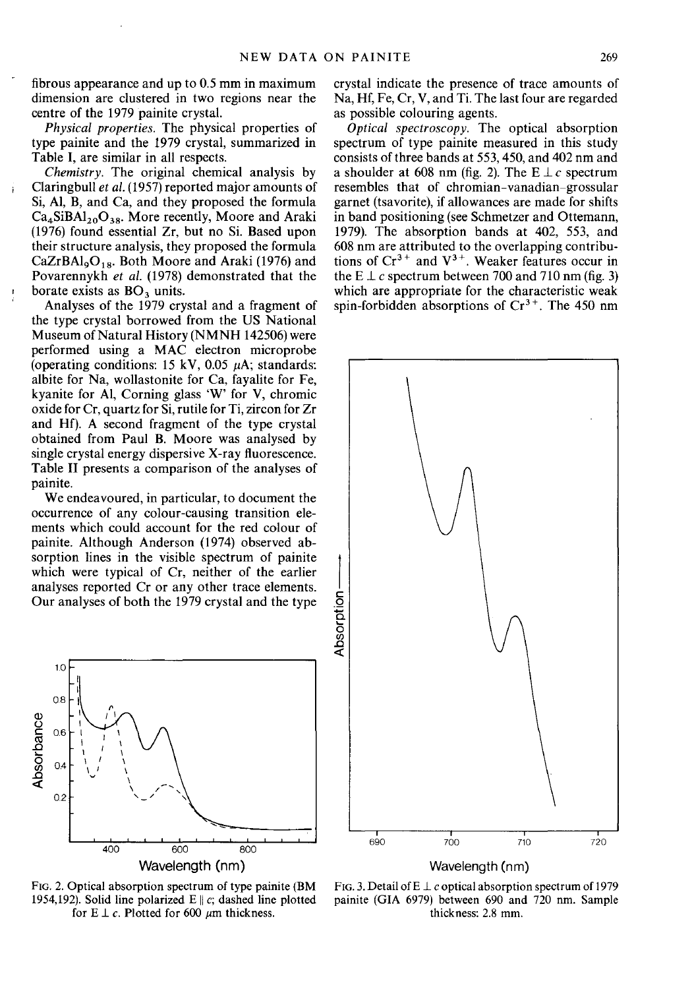fibrous appearance and up to 0.5 mm in maximum dimension are clustered in two regions near the centre of the 1979 painite crystal.

*Physical properties.* The physical properties of type painite and the 1979 crystal, summarized in Table I, are similar in all respects.

*Chemistry.* The original chemical analysis by Claringbull *et al.* (1957) reported major amounts of Si, AI, B, and Ca, and they proposed the formula  $Ca<sub>4</sub>SiBA1<sub>20</sub>O<sub>38</sub>$ . More recently, Moore and Araki (1976) found essential Zr, but no Si. Based upon their structure analysis, they proposed the formula  $CaZrBAI<sub>9</sub>O<sub>18</sub>$ . Both Moore and Araki (1976) and Povarennykh et al. (1978) demonstrated that the borate exists as  $BO<sub>3</sub>$  units.

Analyses of the 1979 crystal and a fragment of the type crystal borrowed from the US National Museum of Natural History (NMNH 142506) were performed using a MAC electron microprobe (operating conditions: 15 kV, 0.05  $\mu$ A; standards: albite for Na, wollastonite for Ca, fayalite for Fe, kyanite for AI, Corning glass 'W' for V, chromic oxide for Cr, quartz for Si, rutile for Ti, zircon for Zr and Hf). A second fragment of the type crystal obtained from Paul B. Moore was analysed by single crystal energy dispersive X-ray fluorescence. Table II presents a comparison of the analyses of painite.

We endeavoured, in particular, to document the occurrence of any colour-causing transition elements which could account for the red colour of painite. Although Anderson (1974) observed absorption lines in the visible spectrum of painite which were typical of Cr, neither of the earlier analyses reported Cr or any other trace elements. Our analyses of both the 1979 crystal and the type



FIG. 2. Optical absorption spectrum of type painite (BM 1954,192). Solid line polarized  $E \parallel c$ ; dashed line plotted for  $E \perp c$ . Plotted for 600  $\mu$ m thickness.

crystal indicate the presence of trace amounts of Na, Hf, Fe, Cr, V, and Ti. The last four are regarded as possible colouring agents.

*Optical spectroscopy.* The optical absorption spectrum of type painite measured in this study consists of three bands at 553,450, and 402 nm and a shoulder at 608 nm (fig. 2). The  $E \perp c$  spectrum resembles that of chromian-vanadian-grossular garnet (tsavorite), if allowances are made for shifts in band positioning (see Schmetzer and Ottemann, 1979). The absorption bands at 402, 553, and 608 nm are attributed to the overlapping contributions of  $Cr^{3+}$  and  $V^{3+}$ . Weaker features occur in the E  $\perp$  *c* spectrum between 700 and 710 nm (fig. 3) which are appropriate for the characteristic weak spin-forbidden absorptions of  $Cr<sup>3+</sup>$ . The 450 nm



FIG. 3. Detail of E  $\perp$  c optical absorption spectrum of 1979 painite (GIA 6979) between 690 and 720 nm. Sample thickness: 2.8 mm.